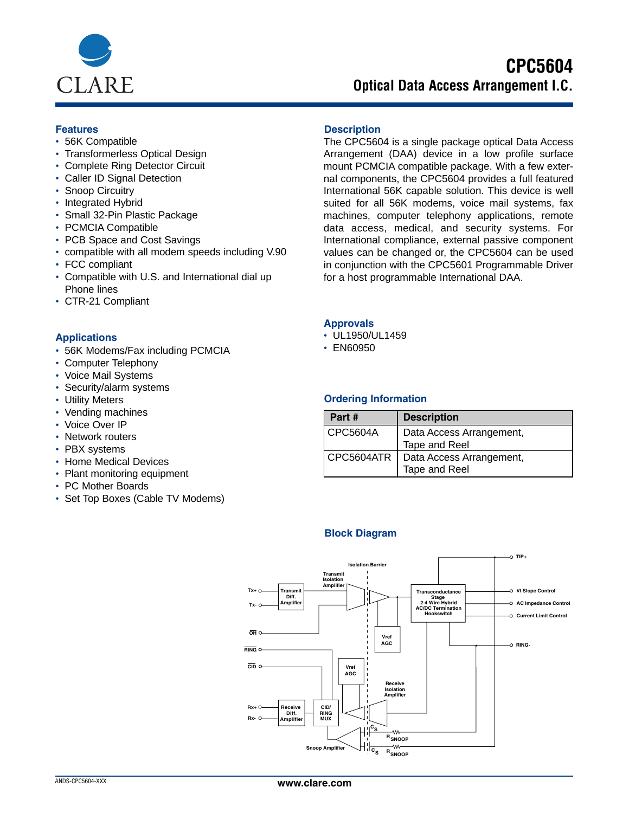

# **CPC5604 Optical Data Access Arrangement I.C.**

- 56K Compatible
- Transformerless Optical Design
- Complete Ring Detector Circuit
- Caller ID Signal Detection
- Snoop Circuitry
- Integrated Hybrid
- Small 32-Pin Plastic Package
- PCMCIA Compatible
- PCB Space and Cost Savings
- compatible with all modem speeds including V.90
- FCC compliant
- Compatible with U.S. and International dial up Phone lines
- CTR-21 Compliant

## **Applications**

- 56K Modems/Fax including PCMCIA
- Computer Telephony
- Voice Mail Systems
- Security/alarm systems
- Utility Meters
- Vending machines
- Voice Over IP
- Network routers
- PBX systems
- Home Medical Devices
- Plant monitoring equipment
- PC Mother Boards
- Set Top Boxes (Cable TV Modems)

## **Features Description**

The CPC5604 is a single package optical Data Access Arrangement (DAA) device in a low profile surface mount PCMCIA compatible package. With a few external components, the CPC5604 provides a full featured International 56K capable solution. This device is well suited for all 56K modems, voice mail systems, fax machines, computer telephony applications, remote data access, medical, and security systems. For International compliance, external passive component values can be changed or, the CPC5604 can be used in conjunction with the CPC5601 Programmable Driver for a host programmable International DAA.

#### **Approvals**

- UL1950/UL1459
- EN60950

#### **Ordering Information**

| Part #     | <b>Description</b>       |
|------------|--------------------------|
| CPC5604A   | Data Access Arrangement, |
|            | Tape and Reel            |
| CPC5604ATR | Data Access Arrangement, |
|            | Tape and Reel            |

## **Block Diagram**

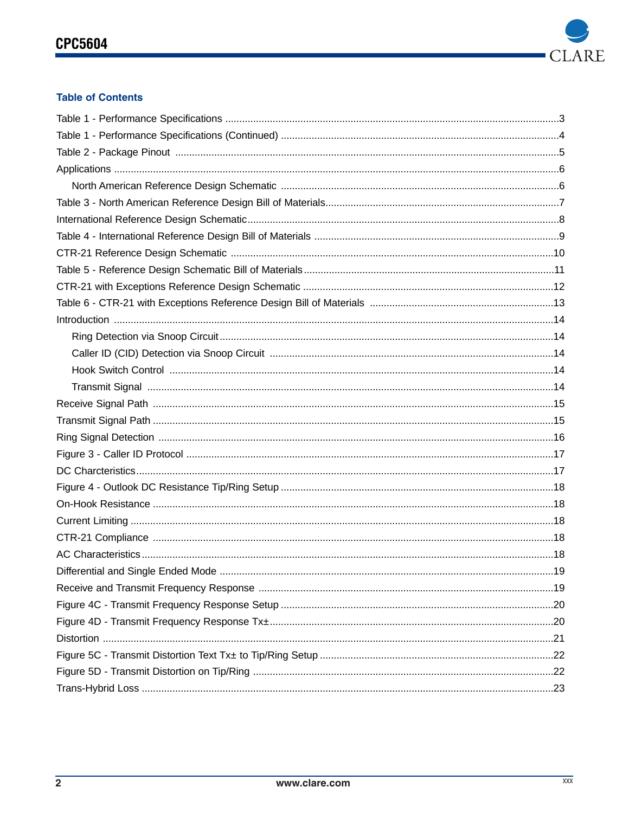

# **Table of Contents**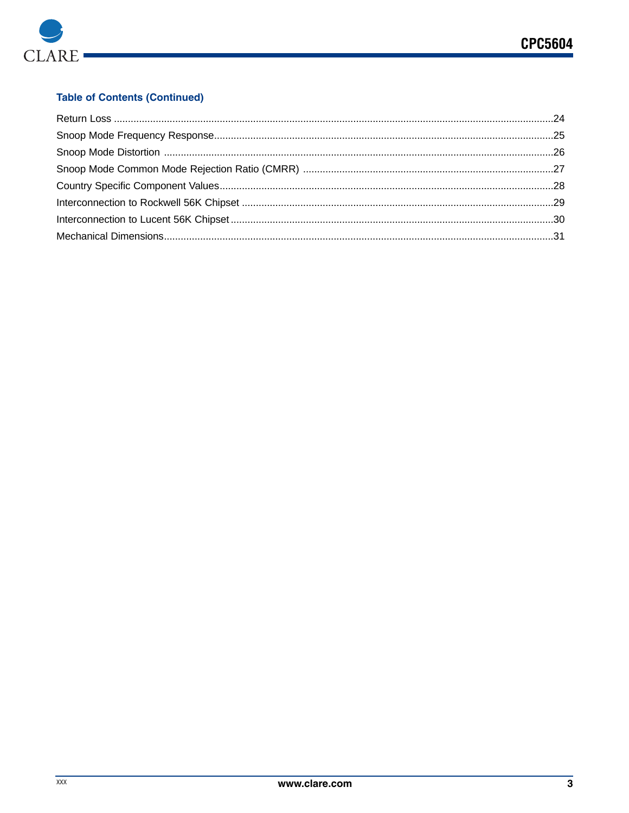

# **Table of Contents (Continued)**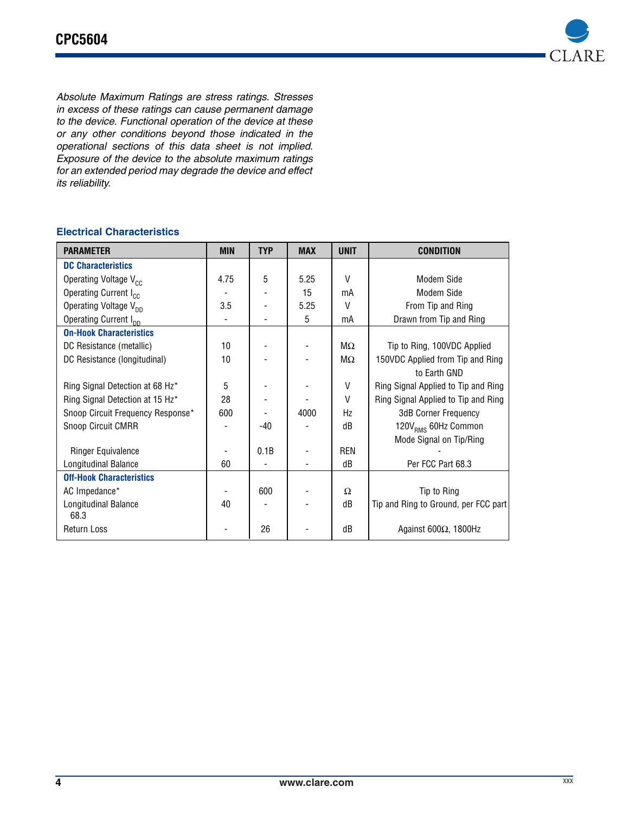

*Absolute Maximum Ratings are stress ratings. Stresses in excess of these ratings can cause permanent damage to the device. Functional operation of the device at these or any other conditions beyond those indicated in the operational sections of this data sheet is not implied. Exposure of the device to the absolute maximum ratings for an extended period may degrade the device and effect its reliability.*

# **Electrical Characteristics**

| <b>PARAMETER</b>                  | <b>MIN</b>       | <b>TYP</b> | <b>MAX</b> | <b>UNIT</b>  | <b>CONDITION</b>                     |
|-----------------------------------|------------------|------------|------------|--------------|--------------------------------------|
| <b>DC Characteristics</b>         |                  |            |            |              |                                      |
| Operating Voltage V <sub>cc</sub> | 4.75             | 5          | 5.25       | $\vee$       | Modem Side                           |
| Operating Current I <sub>cc</sub> |                  |            | 15         | mA           | Modem Side                           |
| Operating Voltage V <sub>nn</sub> | 3.5              |            | 5.25       | $\vee$       | From Tip and Ring                    |
| Operating Current I <sub>nn</sub> |                  |            | 5          | mA           | Drawn from Tip and Ring              |
| <b>On-Hook Characteristics</b>    |                  |            |            |              |                                      |
| DC Resistance (metallic)          | 10               |            |            | MΩ           | Tip to Ring, 100VDC Applied          |
| DC Resistance (longitudinal)      | 10 <sup>10</sup> |            |            | $M\Omega$    | 150VDC Applied from Tip and Ring     |
|                                   |                  |            |            |              | to Earth GND                         |
| Ring Signal Detection at 68 Hz*   | 5                |            |            | V            | Ring Signal Applied to Tip and Ring  |
| Ring Signal Detection at 15 Hz*   | 28               |            |            | $\mathsf{V}$ | Ring Signal Applied to Tip and Ring  |
| Snoop Circuit Frequency Response* | 600              |            | 4000       | Hz           | <b>3dB Corner Frequency</b>          |
| Snoop Circuit CMRR                |                  | -40        |            | dB           | 120V <sub>RMS</sub> 60Hz Common      |
|                                   |                  |            |            |              | Mode Signal on Tip/Ring              |
| <b>Ringer Equivalence</b>         |                  | 0.1B       |            | <b>REN</b>   |                                      |
| Longitudinal Balance              | 60               |            |            | dB           | Per FCC Part 68.3                    |
| <b>Off-Hook Characteristics</b>   |                  |            |            |              |                                      |
| AC Impedance*                     |                  | 600        |            | Ω            | Tip to Ring                          |
| Longitudinal Balance              | 40               |            |            | dB           | Tip and Ring to Ground, per FCC part |
| 68.3                              |                  |            |            |              |                                      |
| <b>Return Loss</b>                |                  | 26         |            | dB           | Against 600 $\Omega$ , 1800Hz        |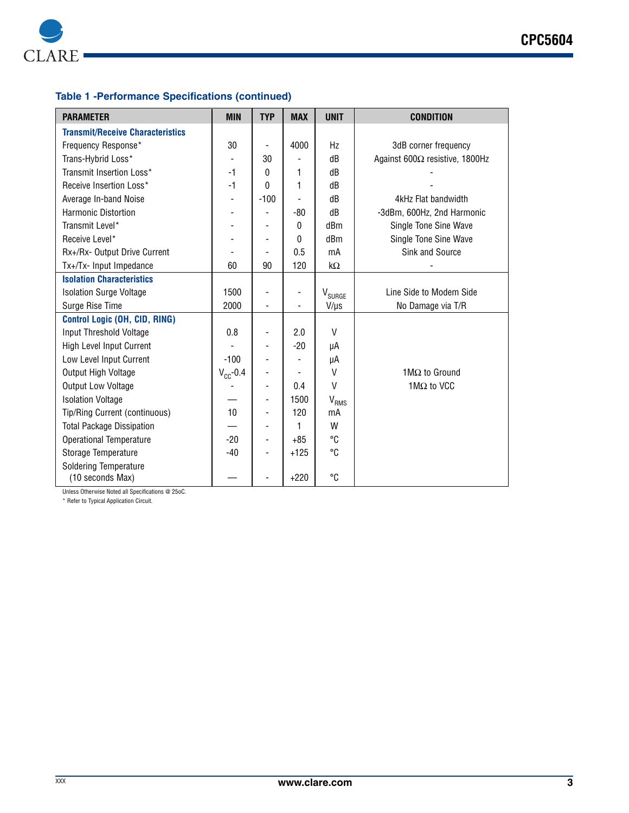

# **Table 1 -Performance Specifications (continued)**

| <b>PARAMETER</b>                        | <b>MIN</b>    | <b>TYP</b>               | <b>MAX</b> | <b>UNIT</b>        | <b>CONDITION</b>               |
|-----------------------------------------|---------------|--------------------------|------------|--------------------|--------------------------------|
| <b>Transmit/Receive Characteristics</b> |               |                          |            |                    |                                |
| Frequency Response*                     | 30            |                          | 4000       | Hz                 | 3dB corner frequency           |
| Trans-Hybrid Loss*                      |               | 30                       |            | dB                 | Against 600Ω resistive, 1800Hz |
| Transmit Insertion Loss*                | $-1$          | 0                        | 1          | dB                 |                                |
| Receive Insertion Loss*                 | $-1$          | 0                        | 1          | dB                 |                                |
| Average In-band Noise                   | ٠             | $-100$                   |            | dB                 | 4kHz Flat bandwidth            |
| Harmonic Distortion                     |               |                          | $-80$      | dB                 | -3dBm, 600Hz, 2nd Harmonic     |
| Transmit Level*                         |               |                          | 0          | dBm                | Single Tone Sine Wave          |
| Receive Level*                          |               |                          | 0          | dBm                | Single Tone Sine Wave          |
| Rx+/Rx- Output Drive Current            |               |                          | 0.5        | mA                 | Sink and Source                |
| Tx+/Tx- Input Impedance                 | 60            | 90                       | 120        | $k\Omega$          |                                |
| <b>Isolation Characteristics</b>        |               |                          |            |                    |                                |
| <b>Isolation Surge Voltage</b>          | 1500          |                          |            | V <sub>SURGE</sub> | Line Side to Modem Side        |
| Surge Rise Time                         | 2000          | $\overline{\phantom{0}}$ |            | $V/\mu s$          | No Damage via T/R              |
| Control Logic (OH, CID, RING)           |               |                          |            |                    |                                |
| Input Threshold Voltage                 | 0.8           |                          | 2.0        | $\vee$             |                                |
| <b>High Level Input Current</b>         |               |                          | $-20$      | μA                 |                                |
| Low Level Input Current                 | $-100$        |                          |            | μA                 |                                |
| Output High Voltage                     | $V_{CC}$ -0.4 |                          |            | $\vee$             | 1M $\Omega$ to Ground          |
| <b>Output Low Voltage</b>               |               | ٠                        | 0.4        | $\vee$             | 1 $M\Omega$ to VCC             |
| <b>Isolation Voltage</b>                |               | ٠                        | 1500       | V <sub>RMS</sub>   |                                |
| Tip/Ring Current (continuous)           | 10            |                          | 120        | mA                 |                                |
| <b>Total Package Dissipation</b>        |               |                          | 1          | W                  |                                |
| <b>Operational Temperature</b>          | $-20$         | $\overline{\phantom{a}}$ | $+85$      | °C                 |                                |
| Storage Temperature                     | $-40$         |                          | $+125$     | °C                 |                                |
| <b>Soldering Temperature</b>            |               |                          |            |                    |                                |
| (10 seconds Max)                        |               |                          | $+220$     | °C                 |                                |

Unless Otherwise Noted all Specifications @ 25oC.

\* Refer to Typical Application Circuit.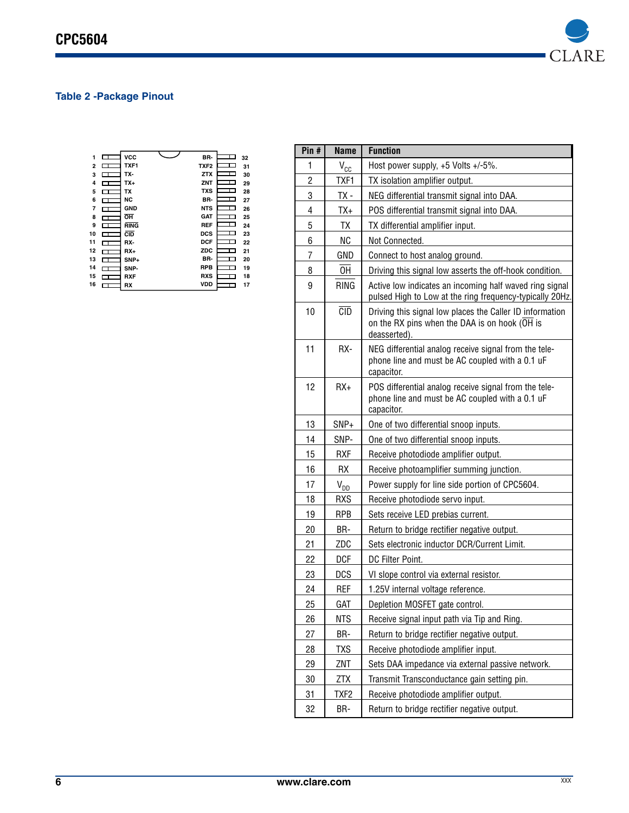

# **Table 2 -Package Pinout**

| 1              |              | <b>VCC</b>  | BR-              |   | 32 |
|----------------|--------------|-------------|------------------|---|----|
| $\overline{2}$ |              | TXF1        | TXF <sub>2</sub> |   | 31 |
| 3              | ┱            | TX-         | <b>ZTX</b>       | П | 30 |
| 4              | П            | TX+         | ZNT              |   | 29 |
| 5              | ⊏            | TX          | <b>TXS</b>       | П | 28 |
| 6              | ᠴ            | NC          | BR-              |   | 27 |
| 7              | ┱            | <b>GND</b>  | <b>NTS</b>       | п | 26 |
| 8              | ┑            | OH          | <b>GAT</b>       |   | 25 |
| 9              | ┐            | <b>RING</b> | <b>REF</b>       | П | 24 |
| 10             |              | <b>CID</b>  | <b>DCS</b>       |   | 23 |
| 11             | ┱            | RX-         | <b>DCF</b>       |   | 22 |
| 12             | ┑            | $RX+$       | <b>ZDC</b>       |   | 21 |
| 13             |              | $SNP+$      | BR-              |   | 20 |
| 14             | Т            | SNP-        | <b>RPB</b>       |   | 19 |
| 15             |              | <b>RXF</b>  | <b>RXS</b>       |   | 18 |
| 16             | $\mathbf{T}$ | <b>RX</b>   | <b>VDD</b>       |   | 17 |

| $P$ in #       | <b>Name</b>     | <b>Function</b>                                                                                                           |  |  |
|----------------|-----------------|---------------------------------------------------------------------------------------------------------------------------|--|--|
| 1              | $V_{\text{CC}}$ | Host power supply, +5 Volts +/-5%.                                                                                        |  |  |
| $\overline{c}$ | TXF1            | TX isolation amplifier output.                                                                                            |  |  |
| 3              | TX -            | NEG differential transmit signal into DAA.                                                                                |  |  |
| 4              | TX+             | POS differential transmit signal into DAA.                                                                                |  |  |
| 5              | TΧ              | TX differential amplifier input.                                                                                          |  |  |
| 6              | <b>NC</b>       | Not Connected.                                                                                                            |  |  |
| 7              | GND             | Connect to host analog ground.                                                                                            |  |  |
| 8              | 0H              | Driving this signal low asserts the off-hook condition.                                                                   |  |  |
| 9              | <b>RING</b>     | Active low indicates an incoming half waved ring signal<br>pulsed High to Low at the ring frequency-typically 20Hz.       |  |  |
| 10             | CD              | Driving this signal low places the Caller ID information<br>on the RX pins when the DAA is on hook (OH is<br>deasserted). |  |  |
| 11             | RX-             | NEG differential analog receive signal from the tele-<br>phone line and must be AC coupled with a 0.1 uF<br>capacitor.    |  |  |
| 12             | $RX+$           | POS differential analog receive signal from the tele-<br>phone line and must be AC coupled with a 0.1 uF<br>capacitor.    |  |  |
| 13             | SNP+            | One of two differential snoop inputs.                                                                                     |  |  |
| 14             | SNP-            | One of two differential snoop inputs.                                                                                     |  |  |
| 15             | <b>RXF</b>      | Receive photodiode amplifier output.                                                                                      |  |  |
| 16             | <b>RX</b>       | Receive photoamplifier summing junction.                                                                                  |  |  |
| 17             | $V_{DD}$        | Power supply for line side portion of CPC5604.                                                                            |  |  |
| 18             | <b>RXS</b>      | Receive photodiode servo input.                                                                                           |  |  |
| 19             | <b>RPB</b>      | Sets receive LED prebias current.                                                                                         |  |  |
| 20             | BR-             | Return to bridge rectifier negative output.                                                                               |  |  |
| 21             | ZDC             | Sets electronic inductor DCR/Current Limit.                                                                               |  |  |
| 22             | <b>DCF</b>      | DC Filter Point.                                                                                                          |  |  |
| 23             | <b>DCS</b>      | VI slope control via external resistor.                                                                                   |  |  |
| 24             | REF             | 1.25V internal voltage reference.                                                                                         |  |  |
| $\frac{25}{2}$ | <u>GAT</u>      | Depletion MOSFET gate control.                                                                                            |  |  |
| 26             | <b>NTS</b>      | Receive signal input path via Tip and Ring.                                                                               |  |  |
| 27             | BR-             | Return to bridge rectifier negative output.                                                                               |  |  |
| 28             | TXS             | Receive photodiode amplifier input.                                                                                       |  |  |
| 29             | ZNT             | Sets DAA impedance via external passive network.                                                                          |  |  |
| 30             | <u>ZTX</u>      | Transmit Transconductance gain setting pin.                                                                               |  |  |
| 31             | TXF2            | Receive photodiode amplifier output.                                                                                      |  |  |
| 32             | BR-             | Return to bridge rectifier negative output.                                                                               |  |  |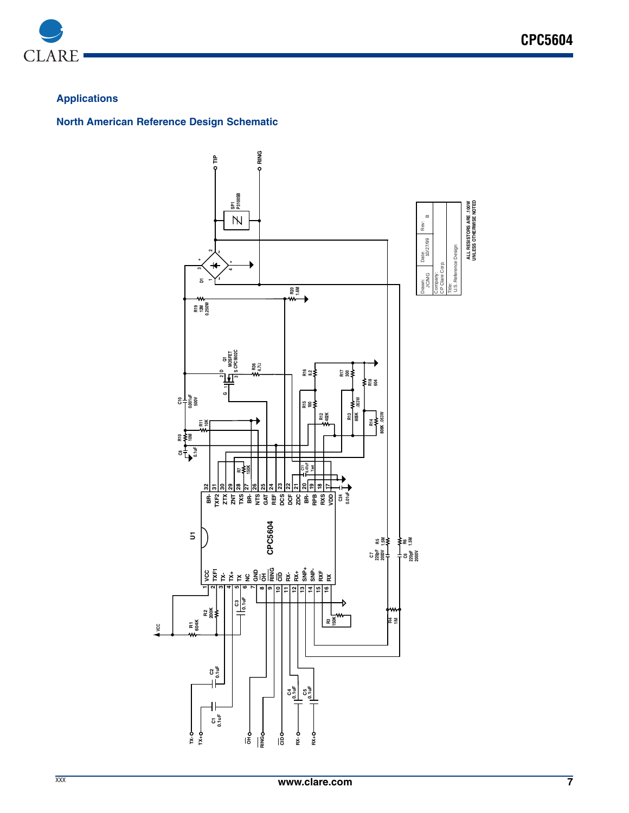

# **Applications**

**North American Reference Design Schematic**

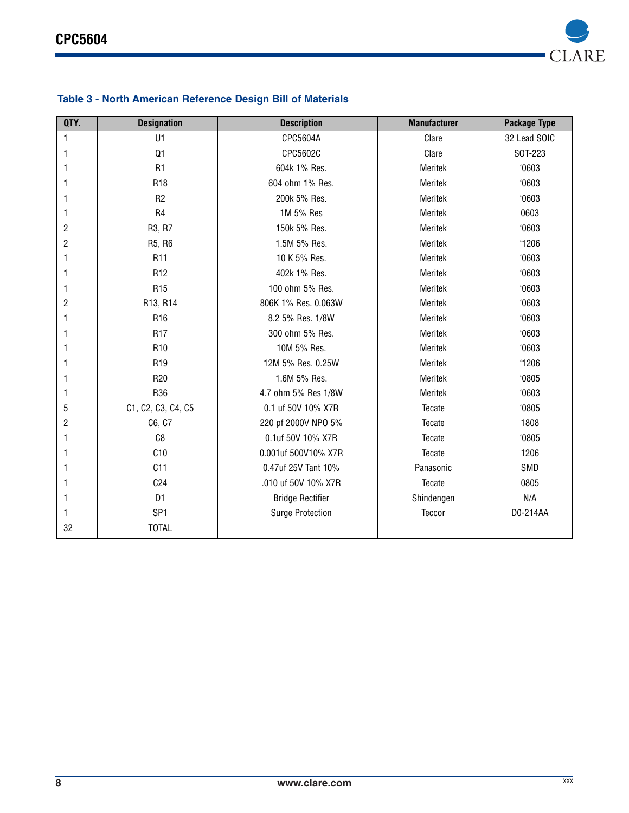

| QTY.           | <b>Designation</b> | <b>Description</b>      | <b>Manufacturer</b> | Package Type |
|----------------|--------------------|-------------------------|---------------------|--------------|
| 1              | U1                 | CPC5604A                | Clare               | 32 Lead SOIC |
| 1              | Q <sub>1</sub>     | CPC5602C                | Clare               | SOT-223      |
| 1              | R <sub>1</sub>     | 604k 1% Res.            | Meritek             | 0603         |
| 1              | R <sub>18</sub>    | 604 ohm 1% Res.         | Meritek             | 0603         |
| 1              | R <sub>2</sub>     | 200k 5% Res.            | Meritek             | 0603         |
| 1              | R <sub>4</sub>     | 1M 5% Res               | Meritek             | 0603         |
| 2              | R3, R7             | 150k 5% Res.            | Meritek             | 0603         |
| $\overline{c}$ | R5, R6             | 1.5M 5% Res.            | Meritek             | '1206        |
| 1              | R <sub>11</sub>    | 10 K 5% Res.            | Meritek             | 0603         |
|                | R <sub>12</sub>    | 402k 1% Res.            | Meritek             | 0603         |
| 1              | R <sub>15</sub>    | 100 ohm 5% Res.         | Meritek             | 0603         |
| $\overline{c}$ | R13, R14           | 806K 1% Res. 0.063W     | Meritek             | 0603         |
|                | R <sub>16</sub>    | 8.2 5% Res. 1/8W        | Meritek             | 0603         |
| 1              | R <sub>17</sub>    | 300 ohm 5% Res.         | Meritek             | 0603         |
| 1              | R <sub>10</sub>    | 10M 5% Res.             | Meritek             | 0603         |
| 1              | R <sub>19</sub>    | 12M 5% Res. 0.25W       | Meritek             | '1206        |
| 1              | R <sub>20</sub>    | 1.6M 5% Res.            | <b>Meritek</b>      | 0805         |
| 1              | R36                | 4.7 ohm 5% Res 1/8W     | Meritek             | 0603         |
| 5              | C1, C2, C3, C4, C5 | 0.1 uf 50V 10% X7R      | Tecate              | 0805         |
| $\overline{c}$ | C6, C7             | 220 pf 2000V NPO 5%     | Tecate              | 1808         |
| 1              | C <sub>8</sub>     | 0.1uf 50V 10% X7R       | Tecate              | 0805         |
|                | C10                | 0.001uf 500V10% X7R     | Tecate              | 1206         |
|                | C11                | 0.47uf 25V Tant 10%     | Panasonic           | SMD          |
| 1              | C <sub>24</sub>    | .010 uf 50V 10% X7R     | Tecate              | 0805         |
| 1              | D <sub>1</sub>     | <b>Bridge Rectifier</b> | Shindengen          | N/A          |
|                | SP <sub>1</sub>    | <b>Surge Protection</b> | Teccor              | D0-214AA     |
| 32             | <b>TOTAL</b>       |                         |                     |              |

# **Table 3 - North American Reference Design Bill of Materials**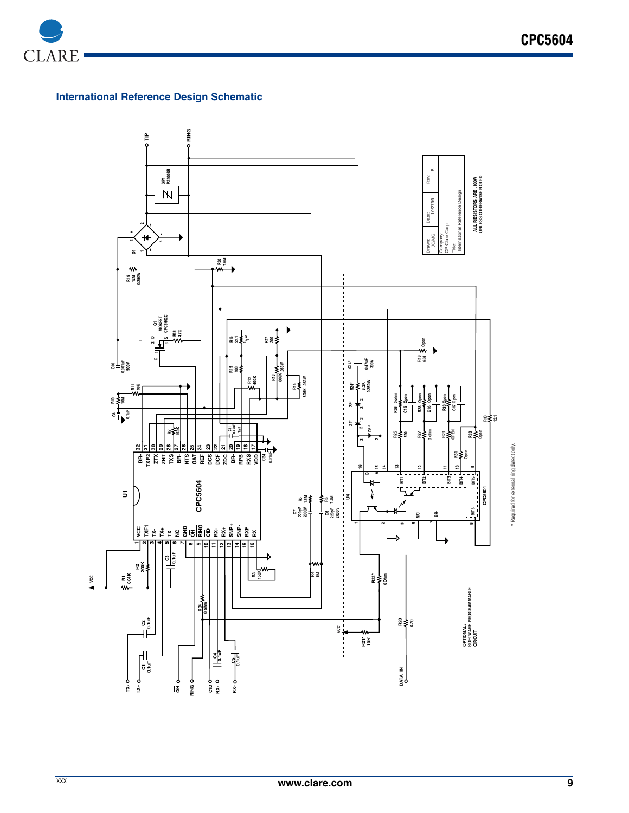

# **International Reference Design Schematic**

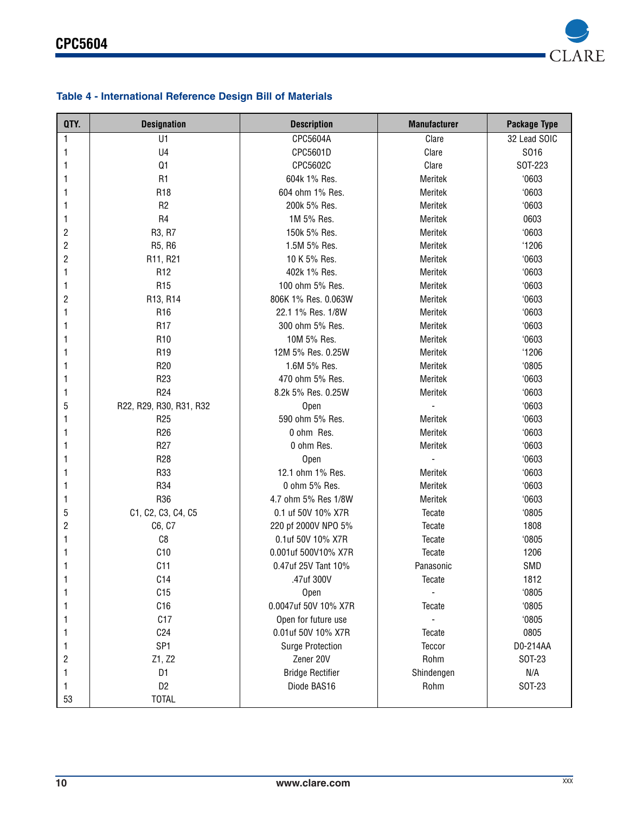

# **Table 4 - International Reference Design Bill of Materials**

| QTY.                    | <b>Designation</b>      | <b>Description</b>      | <b>Manufacturer</b> | <b>Package Type</b> |
|-------------------------|-------------------------|-------------------------|---------------------|---------------------|
| 1                       | U1                      | CPC5604A                | Clare               | 32 Lead SOIC        |
| 1                       | U <sub>4</sub>          | CPC5601D                | Clare               | S016                |
| 1                       | Q1                      | CPC5602C                | Clare               | SOT-223             |
| 1                       | R <sub>1</sub>          | 604k 1% Res.            | Meritek             | 0603                |
|                         | R <sub>18</sub>         | 604 ohm 1% Res.         | Meritek             | '0603               |
| 1                       | R <sub>2</sub>          | 200k 5% Res.            | Meritek             | 0603                |
| 1                       | R4                      | 1M 5% Res.              | Meritek             | 0603                |
| $\overline{c}$          | R3, R7                  | 150k 5% Res.            | Meritek             | 0603                |
| $\sqrt{2}$              | R5, R6                  | 1.5M 5% Res.            | Meritek             | '1206               |
| $\mathbf{2}$            | R11, R21                | 10 K 5% Res.            | Meritek             | 0603                |
| 1                       | R <sub>12</sub>         | 402k 1% Res.            | Meritek             | '0603               |
| 1                       | R <sub>15</sub>         | 100 ohm 5% Res.         | Meritek             | 0603                |
| $\overline{\mathbf{c}}$ | R13, R14                | 806K 1% Res. 0.063W     | Meritek             | 0603                |
| 1                       | R <sub>16</sub>         | 22.1 1% Res. 1/8W       | Meritek             | '0603               |
| 1                       | R <sub>17</sub>         | 300 ohm 5% Res.         | Meritek             | 0603                |
|                         | R <sub>10</sub>         | 10M 5% Res.             | Meritek             | 0603                |
| 1                       | R <sub>19</sub>         | 12M 5% Res. 0.25W       | Meritek             | '1206               |
| 1                       | R <sub>20</sub>         | 1.6M 5% Res.            | Meritek             | 0805                |
| 1                       | R <sub>23</sub>         | 470 ohm 5% Res.         | Meritek             | 0603                |
| 1                       | R <sub>24</sub>         | 8.2k 5% Res. 0.25W      | Meritek             | '0603               |
| 5                       | R22, R29, R30, R31, R32 | Open                    |                     | 0603                |
|                         | R <sub>25</sub>         | 590 ohm 5% Res.         | Meritek             | '0603               |
| 1                       | R <sub>26</sub>         | 0 ohm Res.              | Meritek             | '0603               |
| 1                       | R <sub>27</sub>         | 0 ohm Res.              | Meritek             | '0603               |
| 1                       | R <sub>28</sub>         | Open                    | $\frac{1}{2}$       | 0603                |
| 1                       | R33                     | 12.1 ohm 1% Res.        | Meritek             | 0603                |
| 1                       | R34                     | 0 ohm 5% Res.           | Meritek             | 0603                |
| 1                       | R36                     | 4.7 ohm 5% Res 1/8W     | Meritek             | 0603                |
| 5                       | C1, C2, C3, C4, C5      | 0.1 uf 50V 10% X7R      | Tecate              | 0805                |
| 2                       | C6, C7                  | 220 pf 2000V NPO 5%     | Tecate              | 1808                |
| 1                       | C8                      | 0.1uf 50V 10% X7R       | Tecate              | '0805               |
| 1                       | C10                     | 0.001uf 500V10% X7R     | Tecate              | 1206                |
| 1                       | C11                     | 0.47uf 25V Tant 10%     | Panasonic           | SMD                 |
|                         | C14                     | .47uf 300V              | Tecate              | 1812                |
|                         | C15                     | Open                    |                     | '0805               |
| 1                       | C16                     | 0.0047uf 50V 10% X7R    | Tecate              | '0805               |
| 1                       | C17                     | Open for future use     |                     | '0805               |
| 1                       | C <sub>24</sub>         | 0.01uf 50V 10% X7R      | Tecate              | 0805                |
| 1                       | SP <sub>1</sub>         | <b>Surge Protection</b> | Teccor              | D0-214AA            |
| 2                       | Z1, Z2                  | Zener 20V               | Rohm                | SOT-23              |
| 1                       | D1                      | <b>Bridge Rectifier</b> | Shindengen          | N/A                 |
| 1                       | D <sub>2</sub>          | Diode BAS16             | Rohm                | SOT-23              |
| 53                      | <b>TOTAL</b>            |                         |                     |                     |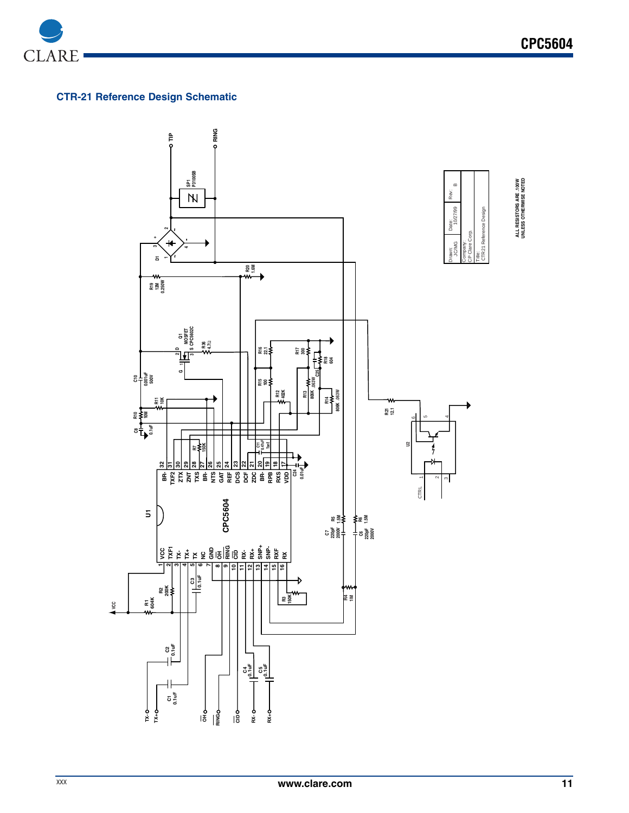

# **CTR-21 Reference Design Schematic**

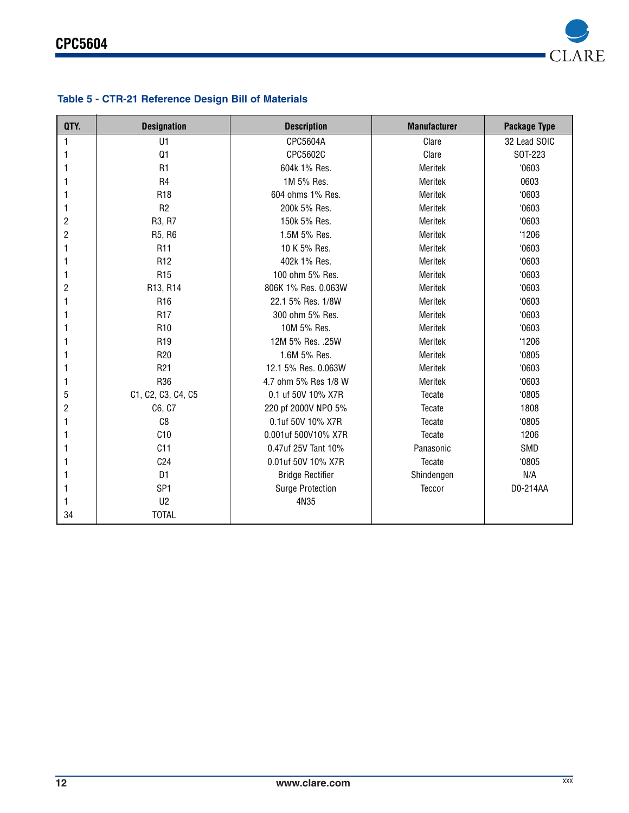

# **Table 5 - CTR-21 Reference Design Bill of Materials**

| QTY.           | <b>Designation</b> | <b>Description</b>      | <b>Manufacturer</b> | Package Type |
|----------------|--------------------|-------------------------|---------------------|--------------|
| 1              | U1                 | CPC5604A                | Clare               | 32 Lead SOIC |
| 1              | Q1                 | CPC5602C                | Clare               | SOT-223      |
| 1              | R1                 | 604k 1% Res.            | Meritek             | 0603         |
| 1              | R <sub>4</sub>     | 1M 5% Res.              | Meritek             | 0603         |
| 1              | R <sub>18</sub>    | 604 ohms 1% Res.        | Meritek             | 0603         |
| 1              | R <sub>2</sub>     | 200k 5% Res.            | Meritek             | 0603         |
| 2              | R3, R7             | 150k 5% Res.            | Meritek             | 0603         |
| $\overline{c}$ | R5, R6             | 1.5M 5% Res.            | Meritek             | '1206        |
| 1              | R <sub>11</sub>    | 10 K 5% Res.            | Meritek             | 0603         |
| 1              | R <sub>12</sub>    | 402k 1% Res.            | Meritek             | 0603         |
| 1              | R <sub>15</sub>    | 100 ohm 5% Res.         | Meritek             | 0603         |
| $\overline{c}$ | R13, R14           | 806K 1% Res. 0.063W     | Meritek             | 0603         |
| 1              | R <sub>16</sub>    | 22.1 5% Res. 1/8W       | Meritek             | 0603         |
| 1              | R <sub>17</sub>    | 300 ohm 5% Res.         | Meritek             | 0603         |
| 1              | R <sub>10</sub>    | 10M 5% Res.             | Meritek             | 0603         |
| 1              | R <sub>19</sub>    | 12M 5% Res. .25W        | Meritek             | '1206        |
| 1              | R <sub>20</sub>    | 1.6M 5% Res.            | Meritek             | 0805         |
| 1              | R <sub>21</sub>    | 12.1 5% Res. 0.063W     | Meritek             | 0603         |
| 1              | R36                | 4.7 ohm 5% Res 1/8 W    | Meritek             | 0603         |
| 5              | C1, C2, C3, C4, C5 | 0.1 uf 50V 10% X7R      | Tecate              | 0805         |
| $\overline{c}$ | C6, C7             | 220 pf 2000V NPO 5%     | Tecate              | 1808         |
| 1              | C8                 | 0.1uf 50V 10% X7R       | Tecate              | 0805         |
| 1              | C10                | 0.001uf 500V10% X7R     | Tecate              | 1206         |
| 1              | C11                | 0.47uf 25V Tant 10%     | Panasonic           | SMD          |
| 1              | C <sub>24</sub>    | 0.01uf 50V 10% X7R      | Tecate              | 0805         |
|                | D <sub>1</sub>     | <b>Bridge Rectifier</b> | Shindengen          | N/A          |
| 1              | SP <sub>1</sub>    | <b>Surge Protection</b> | Teccor              | D0-214AA     |
| 1              | U <sub>2</sub>     | 4N35                    |                     |              |
| 34             | <b>TOTAL</b>       |                         |                     |              |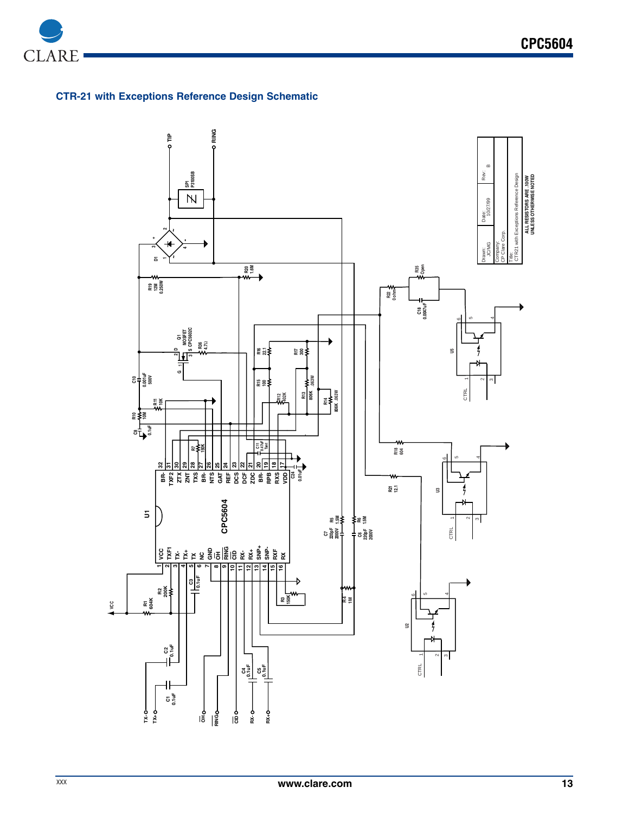

# **CTR-21 with Exceptions Reference Design Schematic**

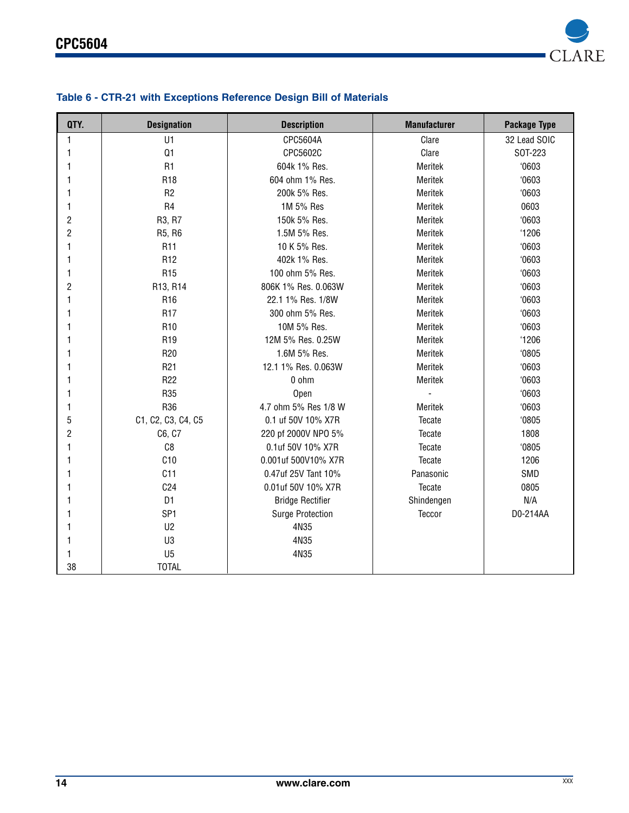

# **Table 6 - CTR-21 with Exceptions Reference Design Bill of Materials**

| QTY.           | <b>Designation</b> | <b>Description</b>      | <b>Manufacturer</b> | Package Type |
|----------------|--------------------|-------------------------|---------------------|--------------|
| 1              | U1                 | CPC5604A                | Clare               | 32 Lead SOIC |
| 1              | Q1                 | CPC5602C                | Clare               | SOT-223      |
| 1              | R <sub>1</sub>     | 604k 1% Res.            | Meritek             | 0603         |
| 1              | R <sub>18</sub>    | 604 ohm 1% Res.         | Meritek             | 0603         |
| 1              | R <sub>2</sub>     | 200k 5% Res.            | Meritek             | 0603         |
| 1              | R <sub>4</sub>     | 1M 5% Res               | Meritek             | 0603         |
| $\overline{c}$ | R3, R7             | 150k 5% Res.            | Meritek             | 0603         |
| $\overline{2}$ | R5, R6             | 1.5M 5% Res.            | Meritek             | '1206        |
| 1              | R <sub>11</sub>    | 10 K 5% Res.            | Meritek             | 0603         |
| 1              | R <sub>12</sub>    | 402k 1% Res.            | Meritek             | 0603         |
| 1              | R <sub>15</sub>    | 100 ohm 5% Res.         | Meritek             | 0603         |
| $\overline{2}$ | R13, R14           | 806K 1% Res. 0.063W     | Meritek             | 0603         |
| 1              | R <sub>16</sub>    | 22.1 1% Res. 1/8W       | Meritek             | 0603         |
| 1              | R <sub>17</sub>    | 300 ohm 5% Res.         | Meritek             | 0603         |
| 1              | R <sub>10</sub>    | 10M 5% Res.             | Meritek             | 0603         |
| 1              | R <sub>19</sub>    | 12M 5% Res. 0.25W       | Meritek             | '1206        |
| 1              | R <sub>20</sub>    | 1.6M 5% Res.            | Meritek             | 0805         |
| 1              | R <sub>21</sub>    | 12.1 1% Res. 0.063W     | Meritek             | 0603         |
| 1              | R <sub>22</sub>    | 0 ohm                   | Meritek             | 0603         |
| 1              | R35                | Open                    |                     | 0603         |
| 1              | R36                | 4.7 ohm 5% Res 1/8 W    | Meritek             | 0603         |
| 5              | C1, C2, C3, C4, C5 | 0.1 uf 50V 10% X7R      | Tecate              | 0805         |
| $\overline{c}$ | C6, C7             | 220 pf 2000V NPO 5%     | Tecate              | 1808         |
| 1              | C8                 | 0.1uf 50V 10% X7R       | Tecate              | 0805         |
| 1              | C10                | 0.001uf 500V10% X7R     | Tecate              | 1206         |
| 1              | C11                | 0.47uf 25V Tant 10%     | Panasonic           | SMD          |
| 1              | C <sub>24</sub>    | 0.01uf 50V 10% X7R      | Tecate              | 0805         |
| 1              | D <sub>1</sub>     | <b>Bridge Rectifier</b> | Shindengen          | N/A          |
| 1              | SP <sub>1</sub>    | <b>Surge Protection</b> | Teccor              | D0-214AA     |
| 1              | U <sub>2</sub>     | 4N35                    |                     |              |
| 1              | U3                 | 4N35                    |                     |              |
| 1              | U <sub>5</sub>     | 4N35                    |                     |              |
| 38             | <b>TOTAL</b>       |                         |                     |              |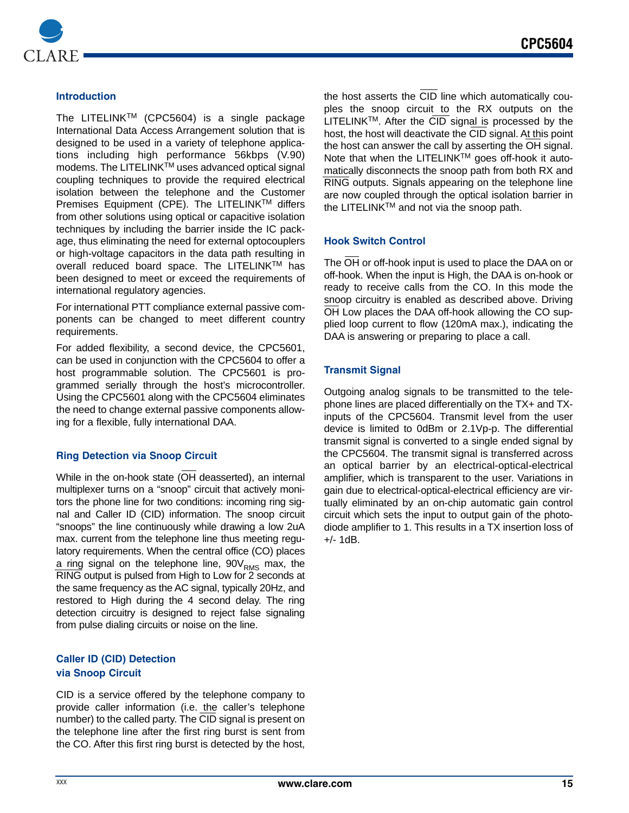

## **Introduction**

The LITELINKTM (CPC5604) is a single package International Data Access Arrangement solution that is designed to be used in a variety of telephone applications including high performance 56kbps (V.90) modems. The LITELINKTM uses advanced optical signal coupling techniques to provide the required electrical isolation between the telephone and the Customer Premises Equipment (CPE). The LITELINK™ differs from other solutions using optical or capacitive isolation techniques by including the barrier inside the IC package, thus eliminating the need for external optocouplers or high-voltage capacitors in the data path resulting in overall reduced board space. The LITELINKTM has been designed to meet or exceed the requirements of international regulatory agencies.

For international PTT compliance external passive components can be changed to meet different country requirements.

For added flexibility, a second device, the CPC5601, can be used in conjunction with the CPC5604 to offer a host programmable solution. The CPC5601 is programmed serially through the host's microcontroller. Using the CPC5601 along with the CPC5604 eliminates the need to change external passive components allowing for a flexible, fully international DAA.

## **Ring Detection via Snoop Circuit**

While in the on-hook state (OH deasserted), an internal multiplexer turns on a "snoop" circuit that actively monitors the phone line for two conditions: incoming ring signal and Caller ID (CID) information. The snoop circuit "snoops" the line continuously while drawing a low 2uA max. current from the telephone line thus meeting regulatory requirements. When the central office (CO) places a ring signal on the telephone line,  $90V<sub>RMS</sub>$  max, the RING output is pulsed from High to Low for 2 seconds at the same frequency as the AC signal, typically 20Hz, and restored to High during the 4 second delay. The ring detection circuitry is designed to reject false signaling from pulse dialing circuits or noise on the line.

## **Caller ID (CID) Detection via Snoop Circuit**

CID is a service offered by the telephone company to provide caller information (i.e. the caller's telephone number) to the called party. The CID signal is present on the telephone line after the first ring burst is sent from the CO. After this first ring burst is detected by the host, the host asserts the CID line which automatically couples the snoop circuit to the RX outputs on the  $LITELINK<sup>TM</sup>$ . After the  $\overline{CID}$  signal is processed by the host, the host will deactivate the CID signal. At this point the host can answer the call by asserting the OH signal. Note that when the LITELINK™ goes off-hook it automatically disconnects the snoop path from both RX and RING outputs. Signals appearing on the telephone line are now coupled through the optical isolation barrier in the LITELINK™ and not via the snoop path.

#### **Hook Switch Control**

The OH or off-hook input is used to place the DAA on or off-hook. When the input is High, the DAA is on-hook or ready to receive calls from the CO. In this mode the snoop circuitry is enabled as described above. Driving OH Low places the DAA off-hook allowing the CO supplied loop current to flow (120mA max.), indicating the DAA is answering or preparing to place a call.

#### **Transmit Signal**

Outgoing analog signals to be transmitted to the telephone lines are placed differentially on the TX+ and TXinputs of the CPC5604. Transmit level from the user device is limited to 0dBm or 2.1Vp-p. The differential transmit signal is converted to a single ended signal by the CPC5604. The transmit signal is transferred across an optical barrier by an electrical-optical-electrical amplifier, which is transparent to the user. Variations in gain due to electrical-optical-electrical efficiency are virtually eliminated by an on-chip automatic gain control circuit which sets the input to output gain of the photodiode amplifier to 1. This results in a TX insertion loss of +/- 1dB.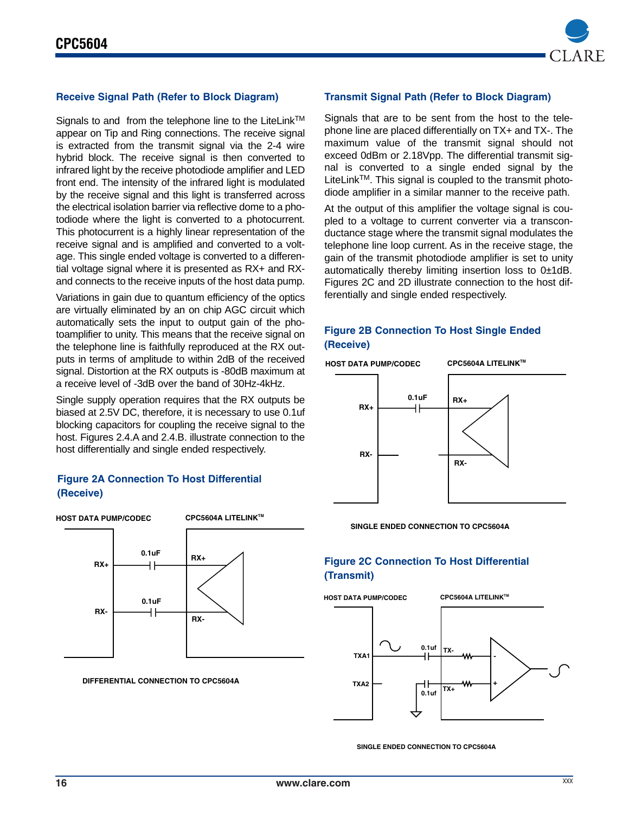

# **Receive Signal Path (Refer to Block Diagram)**

Signals to and from the telephone line to the LiteLink™ appear on Tip and Ring connections. The receive signal is extracted from the transmit signal via the 2-4 wire hybrid block. The receive signal is then converted to infrared light by the receive photodiode amplifier and LED front end. The intensity of the infrared light is modulated by the receive signal and this light is transferred across the electrical isolation barrier via reflective dome to a photodiode where the light is converted to a photocurrent. This photocurrent is a highly linear representation of the receive signal and is amplified and converted to a voltage. This single ended voltage is converted to a differential voltage signal where it is presented as RX+ and RXand connects to the receive inputs of the host data pump.

Variations in gain due to quantum efficiency of the optics are virtually eliminated by an on chip AGC circuit which automatically sets the input to output gain of the photoamplifier to unity. This means that the receive signal on the telephone line is faithfully reproduced at the RX outputs in terms of amplitude to within 2dB of the received signal. Distortion at the RX outputs is -80dB maximum at a receive level of -3dB over the band of 30Hz-4kHz.

Single supply operation requires that the RX outputs be biased at 2.5V DC, therefore, it is necessary to use 0.1uf blocking capacitors for coupling the receive signal to the host. Figures 2.4.A and 2.4.B. illustrate connection to the host differentially and single ended respectively.

#### **Figure 2A Connection To Host Differential (Receive)**



**DIFFERENTIAL CONNECTION TO CPC5604A**

#### **Transmit Signal Path (Refer to Block Diagram)**

Signals that are to be sent from the host to the telephone line are placed differentially on TX+ and TX-. The maximum value of the transmit signal should not exceed 0dBm or 2.18Vpp. The differential transmit signal is converted to a single ended signal by the LiteLink<sup>™</sup>. This signal is coupled to the transmit photodiode amplifier in a similar manner to the receive path.

At the output of this amplifier the voltage signal is coupled to a voltage to current converter via a transconductance stage where the transmit signal modulates the telephone line loop current. As in the receive stage, the gain of the transmit photodiode amplifier is set to unity automatically thereby limiting insertion loss to 0±1dB. Figures 2C and 2D illustrate connection to the host differentially and single ended respectively.

# **Figure 2B Connection To Host Single Ended (Receive)**



**SINGLE ENDED CONNECTION TO CPC5604A**

# **Figure 2C Connection To Host Differential (Transmit)**



**SINGLE ENDED CONNECTION TO CPC5604A**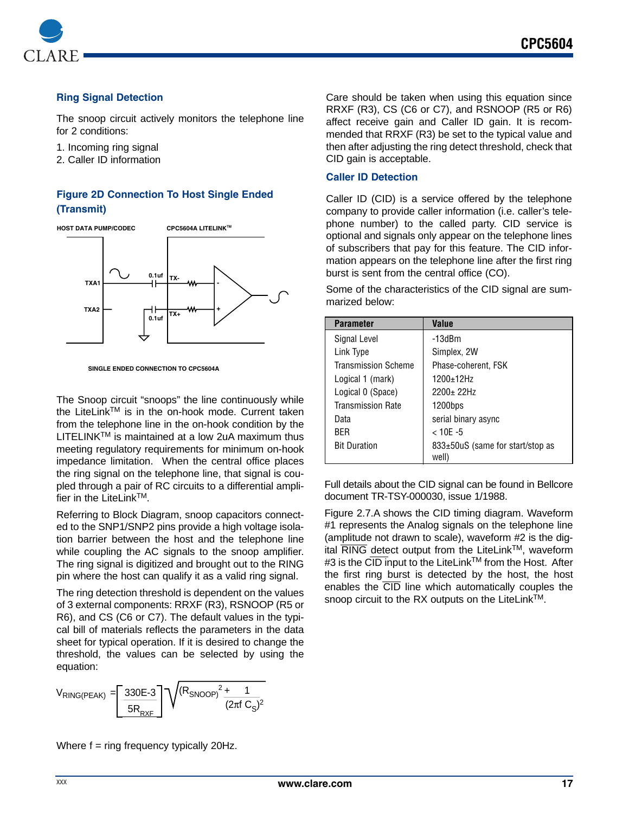

### **Ring Signal Detection**

The snoop circuit actively monitors the telephone line for 2 conditions:

1. Incoming ring signal

2. Caller ID information

# **Figure 2D Connection To Host Single Ended (Transmit)**



**SINGLE ENDED CONNECTION TO CPC5604A**

The Snoop circuit "snoops" the line continuously while the LiteLink™ is in the on-hook mode. Current taken from the telephone line in the on-hook condition by the  $LITELINK^{TM}$  is maintained at a low 2uA maximum thus meeting regulatory requirements for minimum on-hook impedance limitation. When the central office places the ring signal on the telephone line, that signal is coupled through a pair of RC circuits to a differential amplifier in the LiteLink™.

Referring to Block Diagram, snoop capacitors connected to the SNP1/SNP2 pins provide a high voltage isolation barrier between the host and the telephone line while coupling the AC signals to the snoop amplifier. The ring signal is digitized and brought out to the RING pin where the host can qualify it as a valid ring signal.

The ring detection threshold is dependent on the values of 3 external components: RRXF (R3), RSNOOP (R5 or R6), and CS (C6 or C7). The default values in the typical bill of materials reflects the parameters in the data sheet for typical operation. If it is desired to change the threshold, the values can be selected by using the equation:



Care should be taken when using this equation since RRXF (R3), CS (C6 or C7), and RSNOOP (R5 or R6) affect receive gain and Caller ID gain. It is recommended that RRXF (R3) be set to the typical value and then after adjusting the ring detect threshold, check that CID gain is acceptable.

## **Caller ID Detection**

Caller ID (CID) is a service offered by the telephone company to provide caller information (i.e. caller's telephone number) to the called party. CID service is optional and signals only appear on the telephone lines of subscribers that pay for this feature. The CID information appears on the telephone line after the first ring burst is sent from the central office (CO).

Some of the characteristics of the CID signal are summarized below:

| <b>Parameter</b>           | Value                                     |
|----------------------------|-------------------------------------------|
| Signal Level               | $-13dBm$                                  |
| Link Type                  | Simplex, 2W                               |
| <b>Transmission Scheme</b> | Phase-coherent, FSK                       |
| Logical 1 (mark)           | 1200+12Hz                                 |
| Logical 0 (Space)          | $2200+22Hz$                               |
| <b>Transmission Rate</b>   | 1200bps                                   |
| Data                       | serial binary async                       |
| <b>BFR</b>                 | $< 10E - 5$                               |
| <b>Bit Duration</b>        | 833±50uS (same for start/stop as<br>well) |

Full details about the CID signal can be found in Bellcore document TR-TSY-000030, issue 1/1988.

Figure 2.7.A shows the CID timing diagram. Waveform #1 represents the Analog signals on the telephone line (amplitude not drawn to scale), waveform #2 is the digital  $\overline{RING}$  detect output from the LiteLink<sup>TM</sup>, waveform #3 is the CID input to the LiteLink<sup>TM</sup> from the Host. After the first ring burst is detected by the host, the host enables the CID line which automatically couples the snoop circuit to the RX outputs on the LiteLink™.

Where  $f = ring frequency$  typically 20Hz.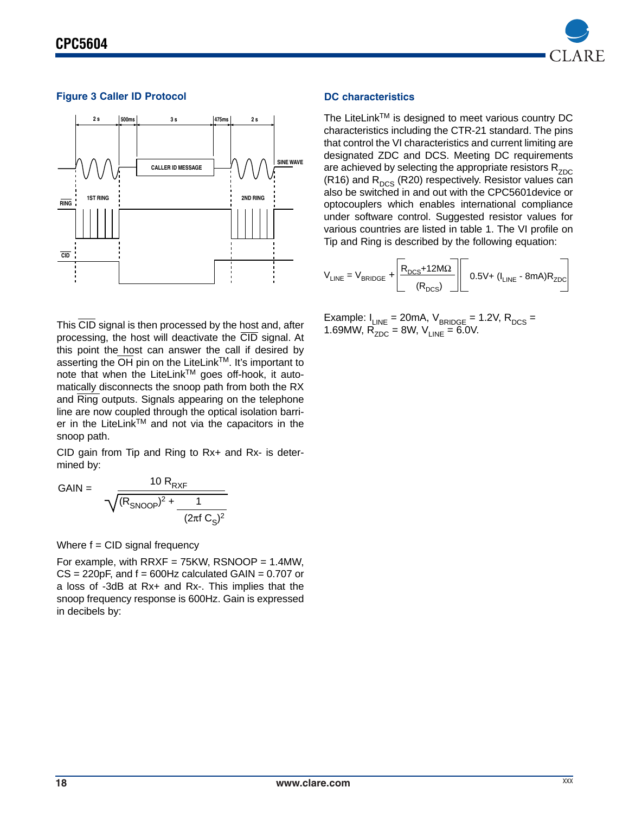

# **Figure 3 Caller ID Protocol**



This CID signal is then processed by the host and, after processing, the host will deactivate the CID signal. At this point the host can answer the call if desired by asserting the  $\overline{OH}$  pin on the LiteLink<sup>TM</sup>. It's important to note that when the LiteLink™ goes off-hook, it automatically disconnects the snoop path from both the RX and Ring outputs. Signals appearing on the telephone line are now coupled through the optical isolation barrier in the LiteLink™ and not via the capacitors in the snoop path.

CID gain from Tip and Ring to Rx+ and Rx- is determined by:

$$
GAIN = \frac{10 R_{RXF}}{\sqrt{(R_{SNOOP})^2 + \frac{1}{(2\pi f C_S)^2}}}
$$

Where  $f = CID$  signal frequency

For example, with  $RRXF = 75KW$ ,  $RSNOOP = 1.4MW$ ,  $CS = 220pF$ , and  $f = 600Hz$  calculated GAIN = 0.707 or a loss of -3dB at Rx+ and Rx-. This implies that the snoop frequency response is 600Hz. Gain is expressed in decibels by:

#### **DC characteristics**

The LiteLinkTM is designed to meet various country DC characteristics including the CTR-21 standard. The pins that control the VI characteristics and current limiting are designated ZDC and DCS. Meeting DC requirements are achieved by selecting the appropriate resistors  $R_{ZDC}$ (R16) and  $R_{DCS}$  (R20) respectively. Resistor values can also be switched in and out with the CPC5601device or optocouplers which enables international compliance under software control. Suggested resistor values for various countries are listed in table 1. The VI profile on Tip and Ring is described by the following equation:

$$
V_{\text{LINE}} = V_{\text{BRIDE}} + \underbrace{R_{\text{DCS}} + 12 M\Omega}_{(R_{\text{DCS}})} \underbrace{]} 0.5 \text{V} + (I_{\text{LINE}} - 8 \text{mA})R_{\text{ZDC}} \underbrace{]} 0.5 \text{V}
$$

Example:  $I_{LINE}$  = 20mA,  $V_{BRIDGE}$  = 1.2V,  $R_{DCS}$  = 1.69MW,  $R_{ZDC} = 8W$ ,  $V_{LINE} = 6.0V$ .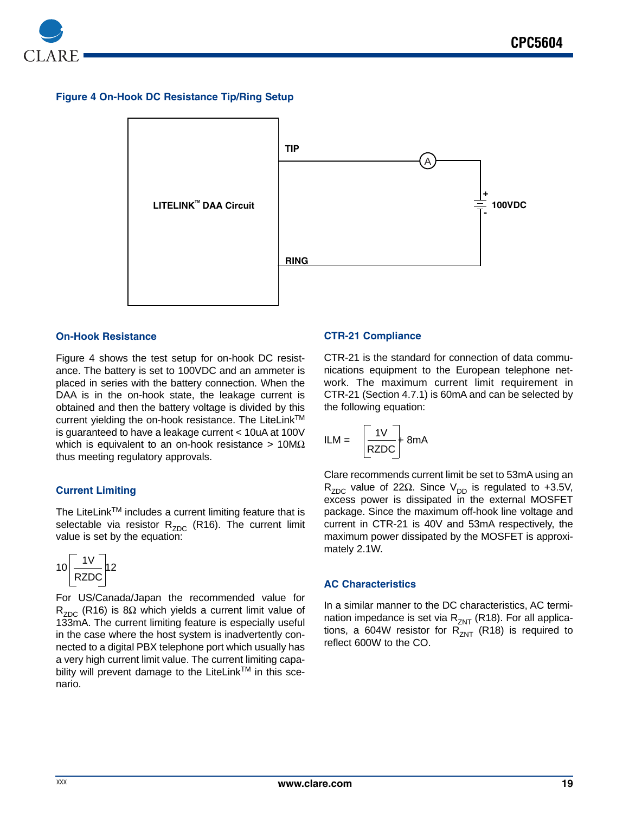

### **Figure 4 On-Hook DC Resistance Tip/Ring Setup**



#### **On-Hook Resistance**

Figure 4 shows the test setup for on-hook DC resistance. The battery is set to 100VDC and an ammeter is placed in series with the battery connection. When the DAA is in the on-hook state, the leakage current is obtained and then the battery voltage is divided by this current yielding the on-hook resistance. The LiteLinkTM is guaranteed to have a leakage current < 10uA at 100V which is equivalent to an on-hook resistance >  $10M\Omega$ thus meeting regulatory approvals.

#### **Current Limiting**

The LiteLink™ includes a current limiting feature that is selectable via resistor  $R_{ZDC}$  (R16). The current limit value is set by the equation:

$$
10\left[\frac{1V}{RZDC}\right]12
$$

For US/Canada/Japan the recommended value for R<sub>ZDC</sub> (R16) is 8Ω which yields a current limit value of 133mA. The current limiting feature is especially useful in the case where the host system is inadvertently connected to a digital PBX telephone port which usually has a very high current limit value. The current limiting capability will prevent damage to the LiteLink™ in this scenario.

#### **CTR-21 Compliance**

CTR-21 is the standard for connection of data communications equipment to the European telephone network. The maximum current limit requirement in CTR-21 (Section 4.7.1) is 60mA and can be selected by the following equation:

$$
ILM = \frac{1V}{RZDC} + 8mA
$$

Clare recommends current limit be set to 53mA using an R<sub>ZDC</sub> value of 22Ω. Since V<sub>DD</sub> is regulated to +3.5V, excess power is dissipated in the external MOSFET package. Since the maximum off-hook line voltage and current in CTR-21 is 40V and 53mA respectively, the maximum power dissipated by the MOSFET is approximately 2.1W.

#### **AC Characteristics**

In a similar manner to the DC characteristics, AC termination impedance is set via  $R_{ZNT}$  (R18). For all applications, a 604W resistor for  $R_{ZNT}^{2N}$  (R18) is required to reflect 600W to the CO.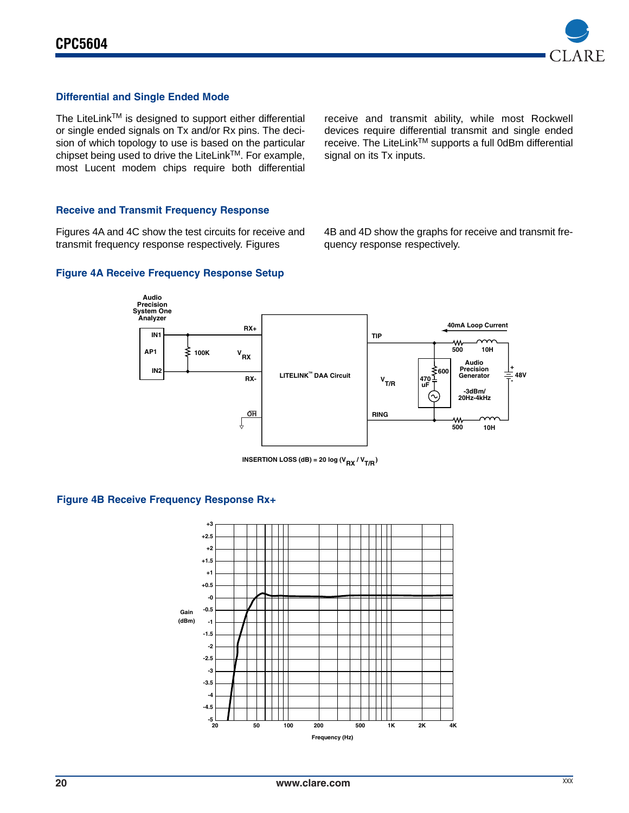

## **Differential and Single Ended Mode**

The LiteLink™ is designed to support either differential or single ended signals on Tx and/or Rx pins. The decision of which topology to use is based on the particular chipset being used to drive the LiteLinkTM. For example, most Lucent modem chips require both differential

receive and transmit ability, while most Rockwell devices require differential transmit and single ended receive. The LiteLink™ supports a full 0dBm differential signal on its Tx inputs.

#### **Receive and Transmit Frequency Response**

Figures 4A and 4C show the test circuits for receive and transmit frequency response respectively. Figures

**Figure 4A Receive Frequency Response Setup**

4B and 4D show the graphs for receive and transmit frequency response respectively.



**INSERTION LOSS (dB) = 20 log (V<sub>RX</sub> / V<sub>T/R</sub>)** 

#### **Figure 4B Receive Frequency Response Rx+**

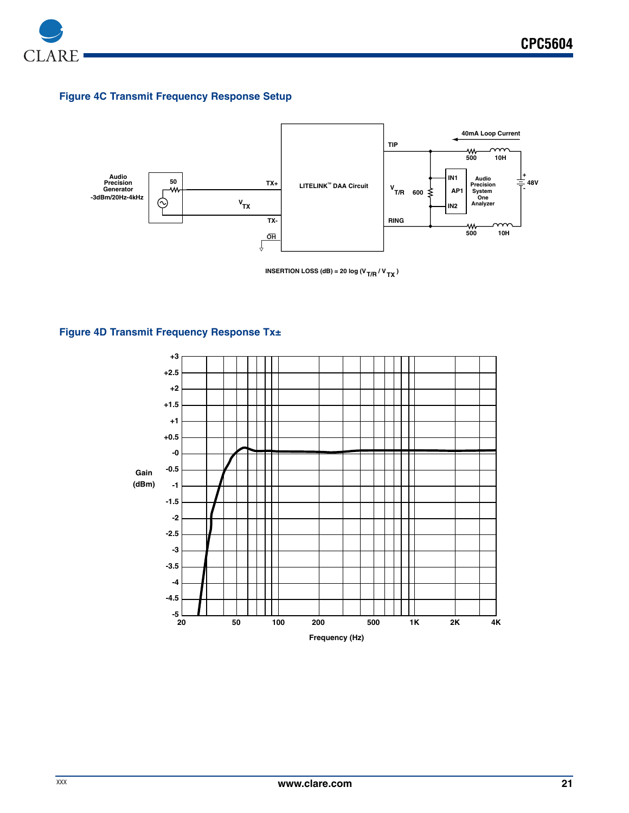

# **Figure 4C Transmit Frequency Response Setup**



**Figure 4D Transmit Frequency Response Tx±**

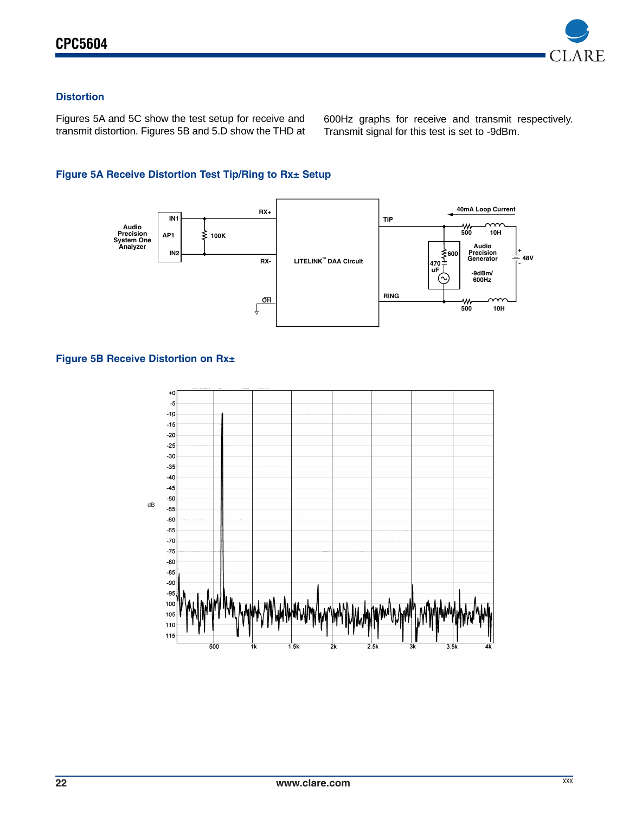

# **Distortion**

Figures 5A and 5C show the test setup for receive and transmit distortion. Figures 5B and 5.D show the THD at 600Hz graphs for receive and transmit respectively. Transmit signal for this test is set to -9dBm.

# **Figure 5A Receive Distortion Test Tip/Ring to Rx± Setup**



## **Figure 5B Receive Distortion on Rx±**

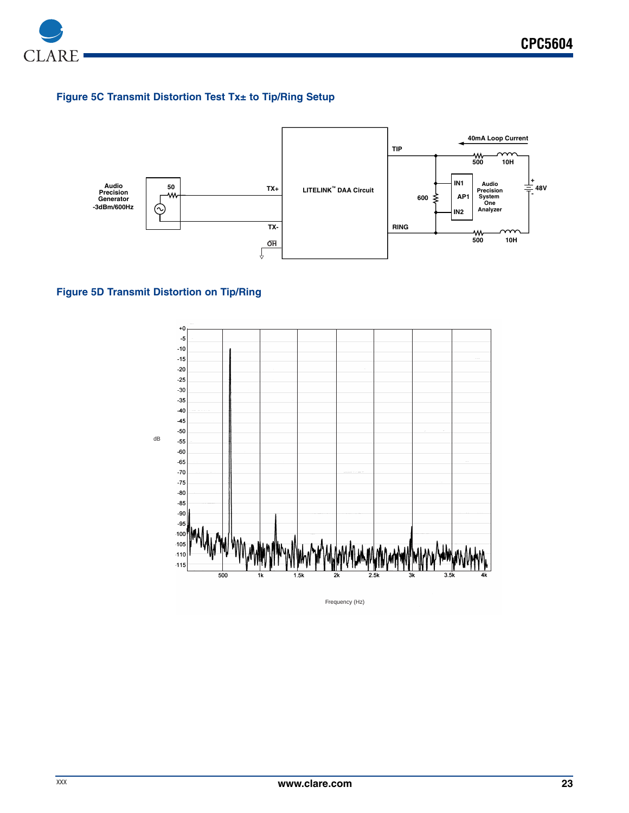

# **Figure 5C Transmit Distortion Test Tx± to Tip/Ring Setup**



# **Figure 5D Transmit Distortion on Tip/Ring**



Frequency (Hz)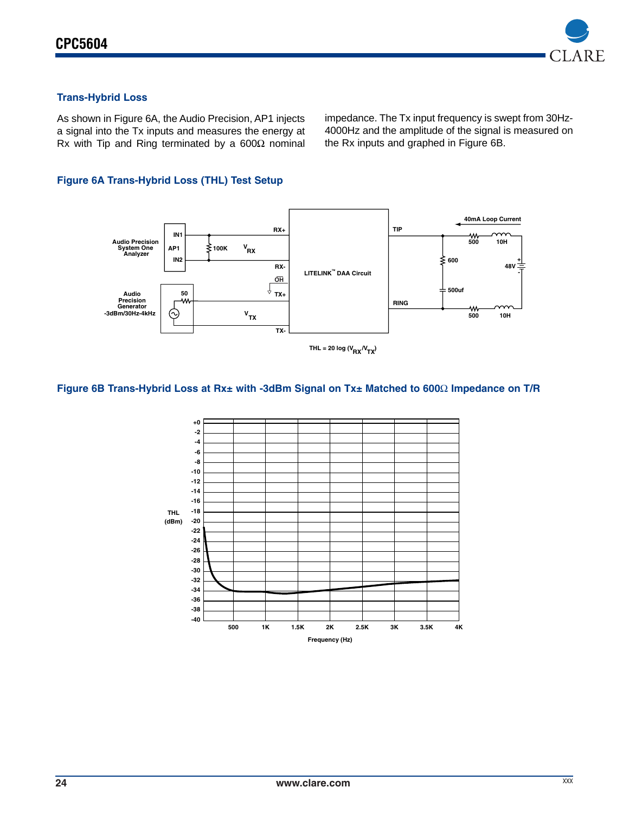

# **Trans-Hybrid Loss**

As shown in Figure 6A, the Audio Precision, AP1 injects a signal into the Tx inputs and measures the energy at Rx with Tip and Ring terminated by a 600Ω nominal impedance. The Tx input frequency is swept from 30Hz-4000Hz and the amplitude of the signal is measured on the Rx inputs and graphed in Figure 6B.

# **Figure 6A Trans-Hybrid Loss (THL) Test Setup**



#### **Figure 6B Trans-Hybrid Loss at Rx± with -3dBm Signal on Tx± Matched to 600**Ω **Impedance on T/R**

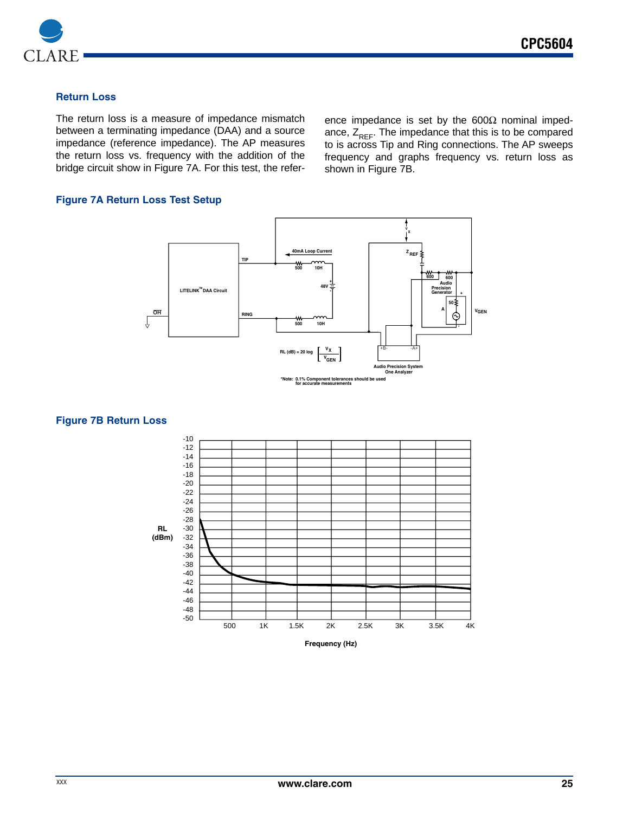

### **Return Loss**

The return loss is a measure of impedance mismatch between a terminating impedance (DAA) and a source impedance (reference impedance). The AP measures the return loss vs. frequency with the addition of the bridge circuit show in Figure 7A. For this test, the reference impedance is set by the  $600\Omega$  nominal impedance,  $Z_{REF}$ . The impedance that this is to be compared to is across Tip and Ring connections. The AP sweeps frequency and graphs frequency vs. return loss as shown in Figure 7B.

### **Figure 7A Return Loss Test Setup**



#### **Figure 7B Return Loss**

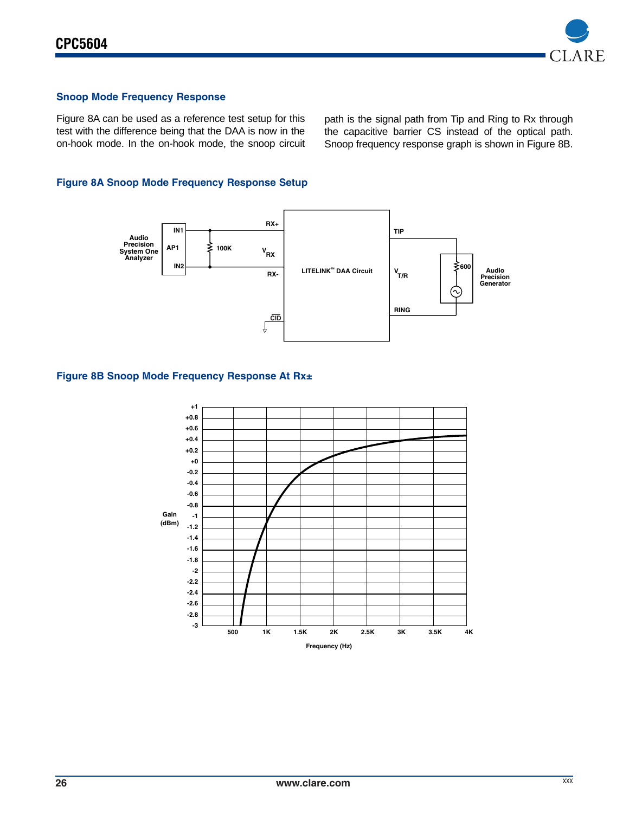

## **Snoop Mode Frequency Response**

Figure 8A can be used as a reference test setup for this test with the difference being that the DAA is now in the on-hook mode. In the on-hook mode, the snoop circuit path is the signal path from Tip and Ring to Rx through the capacitive barrier CS instead of the optical path. Snoop frequency response graph is shown in Figure 8B.

## **Figure 8A Snoop Mode Frequency Response Setup**



#### **Figure 8B Snoop Mode Frequency Response At Rx±**

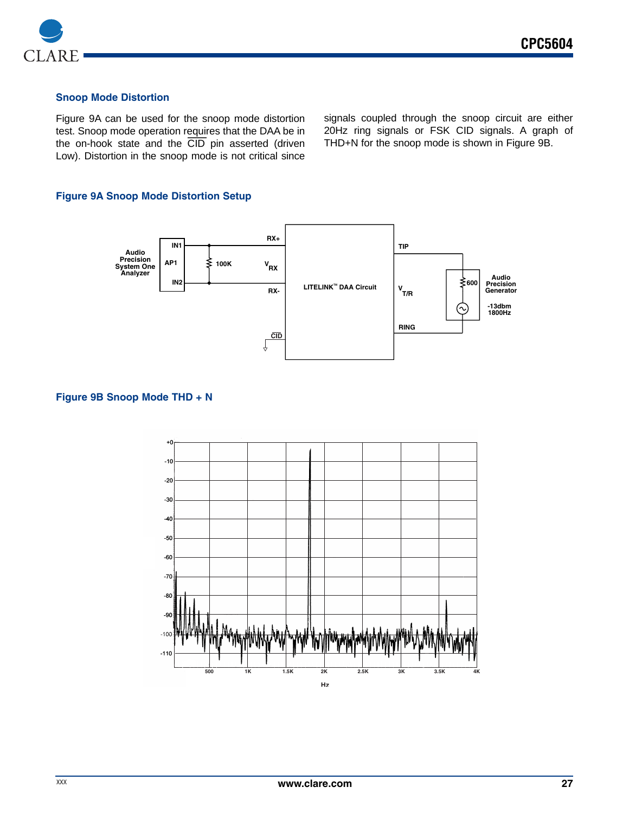

## **Snoop Mode Distortion**

Figure 9A can be used for the snoop mode distortion test. Snoop mode operation r<u>equi</u>res that the DAA be in<br>the .on-hook, state, and, the CID pin, asserted, (driven the on-hook state and the CID pin asserted (driven Low). Distortion in the snoop mode is not critical since

signals coupled through the snoop circuit are either 20Hz ring signals or FSK CID signals. A graph of THD+N for the snoop mode is shown in Figure 9B.

#### **Figure 9A Snoop Mode Distortion Setup**



#### **Figure 9B Snoop Mode THD + N**

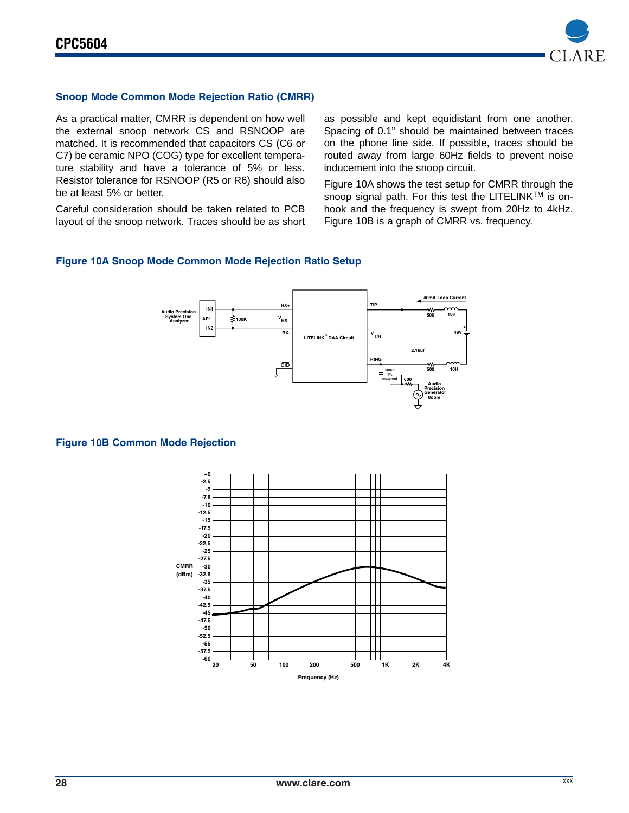

## **Snoop Mode Common Mode Rejection Ratio (CMRR)**

As a practical matter, CMRR is dependent on how well the external snoop network CS and RSNOOP are matched. It is recommended that capacitors CS (C6 or C7) be ceramic NPO (COG) type for excellent temperature stability and have a tolerance of 5% or less. Resistor tolerance for RSNOOP (R5 or R6) should also be at least 5% or better.

Careful consideration should be taken related to PCB layout of the snoop network. Traces should be as short as possible and kept equidistant from one another. Spacing of 0.1" should be maintained between traces on the phone line side. If possible, traces should be routed away from large 60Hz fields to prevent noise inducement into the snoop circuit.

Figure 10A shows the test setup for CMRR through the snoop signal path. For this test the LITELINK<sup>TM</sup> is onhook and the frequency is swept from 20Hz to 4kHz. Figure 10B is a graph of CMRR vs. frequency.

#### **Figure 10A Snoop Mode Common Mode Rejection Ratio Setup**



#### **Figure 10B Common Mode Rejection**

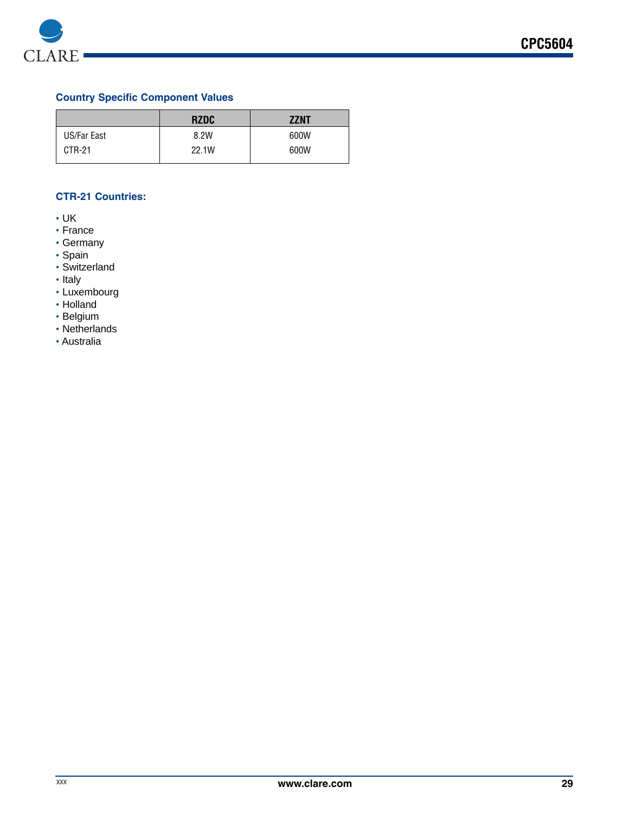

# **Country Specific Component Values**

|             | <b>RZDC</b> | <b>ZZNT</b> |
|-------------|-------------|-------------|
| US/Far East | 8.2W        | 600W        |
| CTR-21      | 22.1W       | 600W        |

# **CTR-21 Countries:**

- UK
- France
- Germany
- Spain
- Switzerland
- Italy
- Luxembourg
- Holland
- Belgium
- Netherlands
- Australia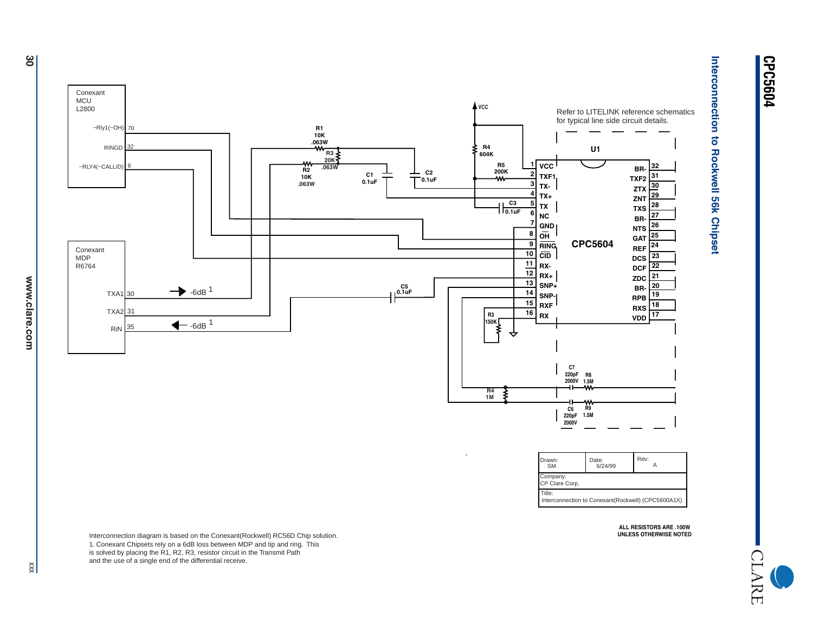

CLARE

 $\frac{8}{20}$ 

Drawn: Date:SMM 6/24/99 A Company: Title: Interconnection to Conexant(Rockwell) (CPC5600A1X) Rev: CP Clare Corp.

> **ALL RESISTORS ARE .100WUNLESS OTHERWISE NOTED**

Interconnection diagram is based on the Conexant(Rockwell) RC56D Chip solution. 1. Conexant Chipsets rely on a 6dB loss between MDP and tip and ring. This is solved by placing the R1, R2, R3, resistor circuit in the Transmit Path and the use of a single end of the differential receive.

 $\frac{1}{2}$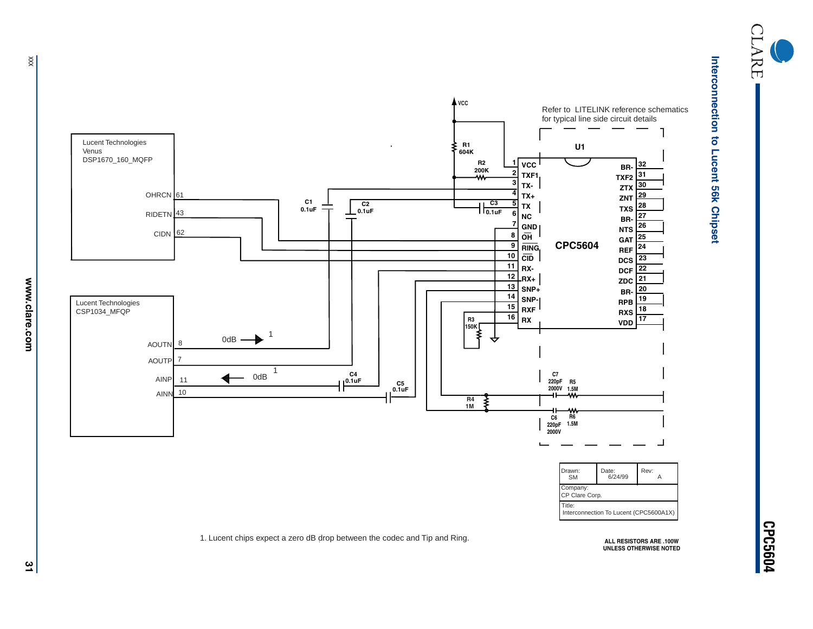



Interconnection to Lucent 56k Chipset **Interconnection to Lucent 56k Chipset**

 $\times$ 

**CPC5604**

**ALL RESISTORS ARE .100W UNLESS OTHERWISE NOTED**

1. Lucent chips expect a zero dB drop between the codec and Tip and Ring.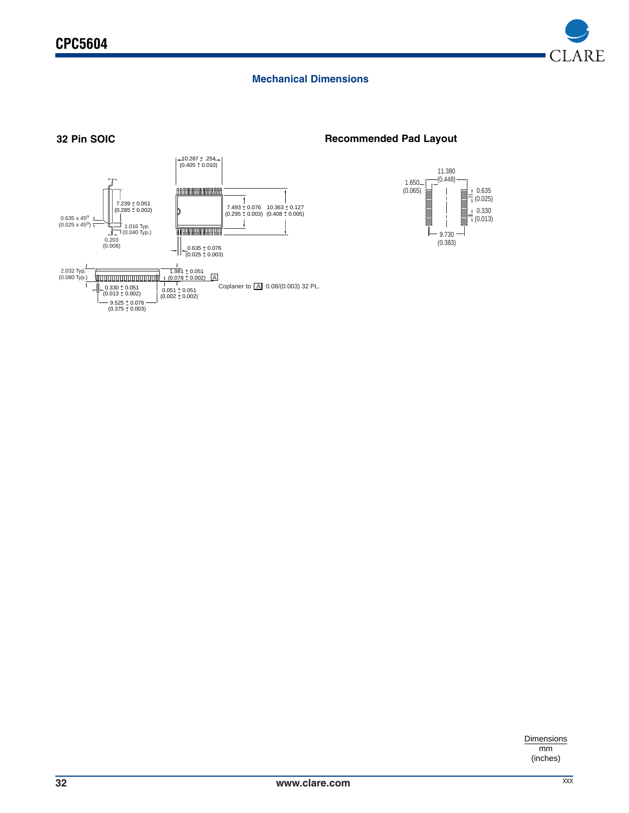

# **Mechanical Dimensions**



# **32 Pin SOIC Recommended Pad Layout**



**Dimensions** mm (inches)